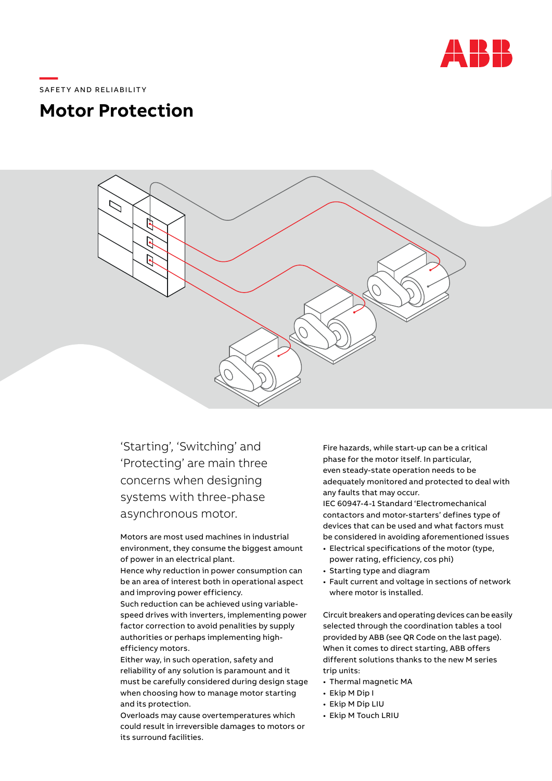

## \_\_\_\_\_<br>SAFETY AND RELIABILITY S A FE T Y A N D R ELI A B I LIT Y

**—** 

## **Motor Protection Motor Protection**  $\frac{1}{2}$  . The set and system for any system for any system for any system for any system  $\frac{1}{2}$



ʻStarting', 'Switching' and 'Protecting' are main three concerns when designing systems with three-phase asynchronous motor.

Motors are most used machines in industrial environment, they consume the biggest amount of power in an electrical plant.

Hence why reduction in power consumption can be an area of interest both in operational aspect and improving power efficiency.

Such reduction can be achieved using variablespeed drives with inverters, implementing power authorities or perhaps implementing highefficiency motors. factor correction to avoid penalities by supply

Either way, in such operation, safety and reliability of any solution is paramount and it must be carefully considered during design stage when choosing how to manage motor starting and its protection.

Overloads may cause overtemperatures which could result in irreversible damages to motors or its surround facilities.

Fire hazards, while start-up can be a critical phase for the motor itself. In particular, even steady-state operation needs to be adequately monitored and protected to deal with any faults that may occur. -ire nazards, while start-up can be a critical

IEC 60947-4-1 Standard 'Electromechanical contactors and motor-starters' defines type of devices that can be used and what factors must be considered in avoiding aforementioned issues

- $\bullet$  Electrical specifications of the motor (type, power rating, efficiency, cos phi)
- $\bullet$  Starting type and diagram
- $\bullet$  Fault current and voltage in sections of network where motor is installed.

Circuit breakers and operating devices can be easily selected through the coordination tables a tool provided by ABB (see QR Code on the last page). When it comes to direct starting, ABB offers different solutions thanks to the new M series trip units: Lircuit breakers and operating devices can be easily

- $\bullet$  Thermal magnetic MA
- $\bullet\,$  Ekip M Dip I
- Ekip M Dip LIU
- Ekip M Touch LRIU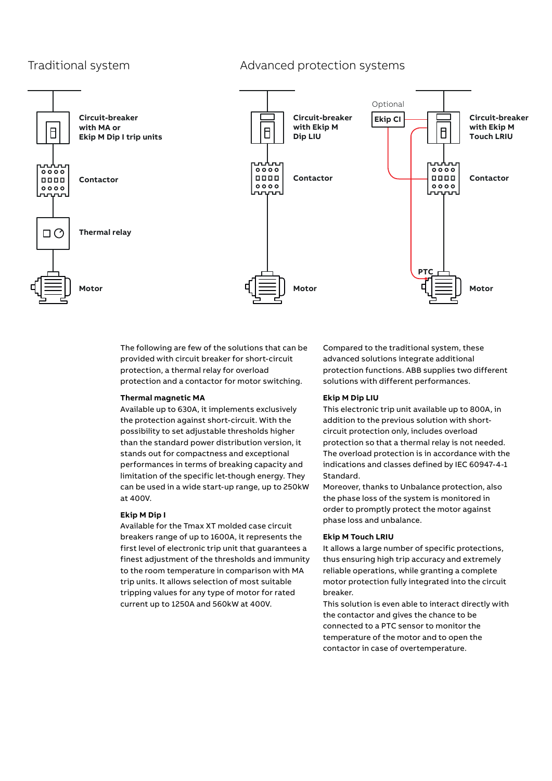## Traditional system Traditional systems



The following are few of the solutions that can be provided with circuit breaker for short-circuit protection, a thermal relay for overload protection and a contactor for motor switching. **Circuit-breaker** 

### **Thermal magnetic MA**

Available up to 630A, it implements exclusively the protection against short-circuit. With the possibility to set adjustable thresholds higher circuit possibility to set adjustable thresholds higher than the standard power distribution version, it stands out for compactness and exceptional performances in terms of breaking capacity and limitation of the specific let-though energy. They Standard. can be used in a wide start-up range, up to 250kW  $at 400V.$ **Touch LRIU**

## **Ekip M Dip I**

Available for the Tmax XT molded case circuit breakers range of up to 1600A, it represents the **Ekip M Touch LRIU** first level of electronic trip unit that guarantees a finest adjustment of the thresholds and immunity t to the room temperature in comparison with MA trip units. It allows selection of most suitable tripping values for any type of motor for rated lattical breaker. current up to 1250A and 560kW at 400V. Available for the Timax X I molded case circuit 1250A and 560kW at 400 V.C. and 560 V.C. and 560 V.C. and 560 V.C. and 560 V.C. and 560 V.C. and 560 V.C. and

utions that can be  $\hskip 60pt \sim$  Compared to the traditional system, these advanced solutions integrate additional protection functions. ABB supplies two different solutions with different performances.<br> **Constant** 

### **Ekip M Dip LIU**

ents exclusively **the This electronic trip unit available up to** 800A, in cuit. With the **addition to the previous solution with short**circuit protection only, includes overload  $\frac{1}{2}$  varian  $\frac{1}{2}$  is not over the protection so that a thermal relay is not needed. defined the overload protection is in accordance with the defined by IEC 60947-4-1 **Contact Contact Contact Contact Contact Contact Contact Contact Contact Contact Contact Contact Contact Contact Contact Contact Contact Co** indications and classes defined by IEC 60947-4-1 Standard.

ange, up to 250kW Moreover, thanks to Unbalance protection, also the phase loss of the system is monitored in order to promptly protect the motor against phase loss and unbalance.

#### **Ekip M Touch LRIU**

that guarantees a  $\hskip1cm$  It allows a large number of specific protections, olds and immunity  $\;\;\;\;$  thus ensuring high trip accuracy and extremely reliable operations, while granting a complete most suitable http://witheractionfully integrated into the circuit breaker. c protective<br>Continues

at 400V. This solution is even able to interact directly with the contactor and gives the chance to be connected to a PTC sensor to monitor the temperature of the motor and to open the contactor in case of overtemperature.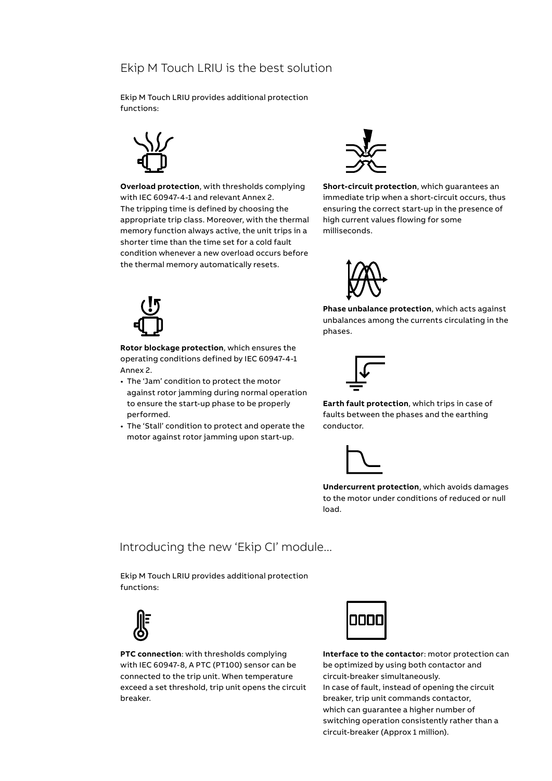## Ekip M Touch LRIU is the best solution

Ekip M Touch LRIU provides additional protection functions:



**Overload protection**, with thresholds complying with IEC 60947-4-1 and relevant Annex 2. The tripping time is defined by choosing the appropriate trip class. Moreover, with the thermal memory function always active, the unit trips in a shorter time than the time set for a cold fault condition whenever a new overload occurs before the thermal memory automatically resets.



**Short-circuit protection**, which guarantees an immediate trip when a short-circuit occurs, thus ensuring the correct start-up in the presence of high current values flowing for some milliseconds.

**Phase unbalance protection**, which acts against unbalances among the currents circulating in the





**Rotor blockage protection**, which ensures the operating conditions defined by IEC 60947-4-1 Annex 2.

- The 'Jam' condition to protect the motor against rotor jamming during normal operation to ensure the start-up phase to be properly performed.
- The 'Stall' condition to protect and operate the motor against rotor jamming upon start-up.



phases.

**Earth fault protection**, which trips in case of faults between the phases and the earthing conductor.



**Undercurrent protection**, which avoids damages to the motor under conditions of reduced or null load.

# Introducing the new 'Ekip CI' module...

Ekip M Touch LRIU provides additional protection functions:



**PTC connection**: with thresholds complying with IEC 60947-8, A PTC (PT100) sensor can be connected to the trip unit. When temperature exceed a set threshold, trip unit opens the circuit breaker.



**Interface to the contacto**r: motor protection can be optimized by using both contactor and circuit-breaker simultaneously. In case of fault, instead of opening the circuit breaker, trip unit commands contactor, which can guarantee a higher number of switching operation consistently rather than a circuit-breaker (Approx 1 million).